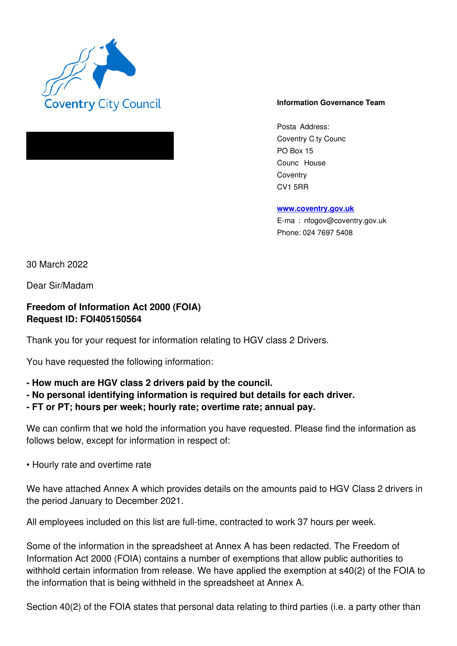

## **Information Governance Team**

Posta Address: Coventry C ty Counc PO Box 15 Counc House **Coventry** CV1 5RR

**www.coventry.gov.uk**

E-ma : nfogov@coventry.gov.uk Phone: 024 7697 5408

30 March 2022

Dear Sir/Madam

**Freedom of Information Act 2000 (FOIA) Request ID: FOI405150564** 

Thank you for your request for information relating to HGV class 2 Drivers.

You have requested the following information:

- **How much are HGV class 2 drivers paid by the council.**
- **No personal identifying information is required but details for each driver.**
- **FT or PT; hours per week; hourly rate; overtime rate; annual pay.**

We can confirm that we hold the information you have requested. Please find the information as follows below, except for information in respect of:

• Hourly rate and overtime rate

We have attached Annex A which provides details on the amounts paid to HGV Class 2 drivers in the period January to December 2021.

All employees included on this list are full-time, contracted to work 37 hours per week.

Some of the information in the spreadsheet at Annex A has been redacted. The Freedom of Information Act 2000 (FOIA) contains a number of exemptions that allow public authorities to withhold certain information from release. We have applied the exemption at s40(2) of the FOIA to the information that is being withheld in the spreadsheet at Annex A.

Section 40(2) of the FOIA states that personal data relating to third parties (i.e. a party other than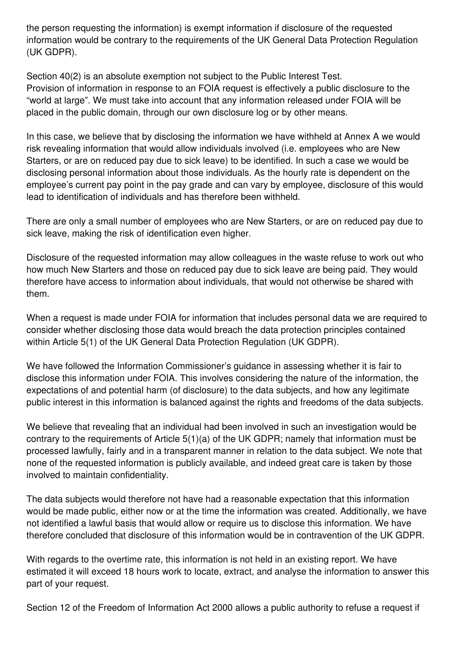the person requesting the information) is exempt information if disclosure of the requested information would be contrary to the requirements of the UK General Data Protection Regulation (UK GDPR).

Section 40(2) is an absolute exemption not subject to the Public Interest Test. Provision of information in response to an FOIA request is effectively a public disclosure to the "world at large". We must take into account that any information released under FOIA will be placed in the public domain, through our own disclosure log or by other means.

In this case, we believe that by disclosing the information we have withheld at Annex A we would risk revealing information that would allow individuals involved (i.e. employees who are New Starters, or are on reduced pay due to sick leave) to be identified. In such a case we would be disclosing personal information about those individuals. As the hourly rate is dependent on the employee's current pay point in the pay grade and can vary by employee, disclosure of this would lead to identification of individuals and has therefore been withheld.

There are only a small number of employees who are New Starters, or are on reduced pay due to sick leave, making the risk of identification even higher.

Disclosure of the requested information may allow colleagues in the waste refuse to work out who how much New Starters and those on reduced pay due to sick leave are being paid. They would therefore have access to information about individuals, that would not otherwise be shared with them.

When a request is made under FOIA for information that includes personal data we are required to consider whether disclosing those data would breach the data protection principles contained within Article 5(1) of the UK General Data Protection Regulation (UK GDPR).

We have followed the Information Commissioner's guidance in assessing whether it is fair to disclose this information under FOIA. This involves considering the nature of the information, the expectations of and potential harm (of disclosure) to the data subjects, and how any legitimate public interest in this information is balanced against the rights and freedoms of the data subjects.

We believe that revealing that an individual had been involved in such an investigation would be contrary to the requirements of Article 5(1)(a) of the UK GDPR; namely that information must be processed lawfully, fairly and in a transparent manner in relation to the data subject. We note that none of the requested information is publicly available, and indeed great care is taken by those involved to maintain confidentiality.

The data subjects would therefore not have had a reasonable expectation that this information would be made public, either now or at the time the information was created. Additionally, we have not identified a lawful basis that would allow or require us to disclose this information. We have therefore concluded that disclosure of this information would be in contravention of the UK GDPR.

With regards to the overtime rate, this information is not held in an existing report. We have estimated it will exceed 18 hours work to locate, extract, and analyse the information to answer this part of your request.

Section 12 of the Freedom of Information Act 2000 allows a public authority to refuse a request if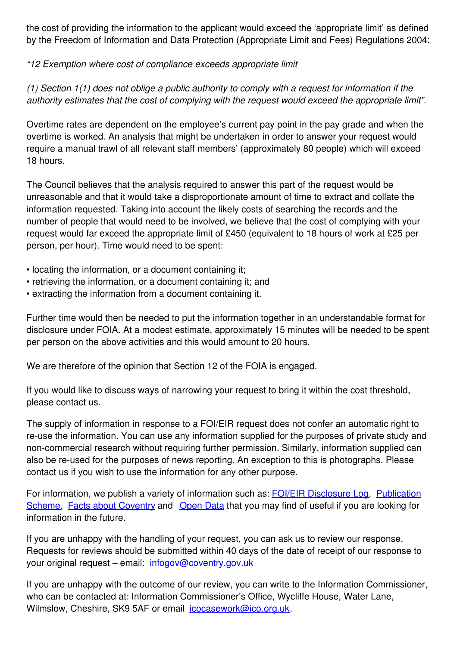the cost of providing the information to the applicant would exceed the 'appropriate limit' as defined by the Freedom of Information and Data Protection (Appropriate Limit and Fees) Regulations 2004:

*"12 Exemption where cost of compliance exceeds appropriate limit* 

*(1) Section 1(1) does not oblige a public authority to comply with a request for information if the authority estimates that the cost of complying with the request would exceed the appropriate limit".*

Overtime rates are dependent on the employee's current pay point in the pay grade and when the overtime is worked. An analysis that might be undertaken in order to answer your request would require a manual trawl of all relevant staff members' (approximately 80 people) which will exceed 18 hours.

The Council believes that the analysis required to answer this part of the request would be unreasonable and that it would take a disproportionate amount of time to extract and collate the information requested. Taking into account the likely costs of searching the records and the number of people that would need to be involved, we believe that the cost of complying with your request would far exceed the appropriate limit of £450 (equivalent to 18 hours of work at £25 per person, per hour). Time would need to be spent:

- locating the information, or a document containing it;
- retrieving the information, or a document containing it; and
- extracting the information from a document containing it.

Further time would then be needed to put the information together in an understandable format for disclosure under FOIA. At a modest estimate, approximately 15 minutes will be needed to be spent per person on the above activities and this would amount to 20 hours.

We are therefore of the opinion that Section 12 of the FOIA is engaged.

If you would like to discuss ways of narrowing your request to bring it within the cost threshold, please contact us.

The supply of information in response to a FOI/EIR request does not confer an automatic right to re-use the information. You can use any information supplied for the purposes of private study and non-commercial research without requiring further permission. Similarly, information supplied can also be re-used for the purposes of news reporting. An exception to this is photographs. Please contact us if you wish to use the information for any other purpose.

For information, we publish a variety of information such as: FOI/EIR Disclosure Log, Publication Scheme, Facts about Coventry and Open Data that you may find of useful if you are looking for information in the future.

If you are unhappy with the handling of your request, you can ask us to review our response. Requests for reviews should be submitted within 40 days of the date of receipt of our response to your original request – email: infogov@coventry.gov.uk

If you are unhappy with the outcome of our review, you can write to the Information Commissioner, who can be contacted at: Information Commissioner's Office, Wycliffe House, Water Lane, Wilmslow, Cheshire, SK9 5AF or email icocasework@ico.org.uk.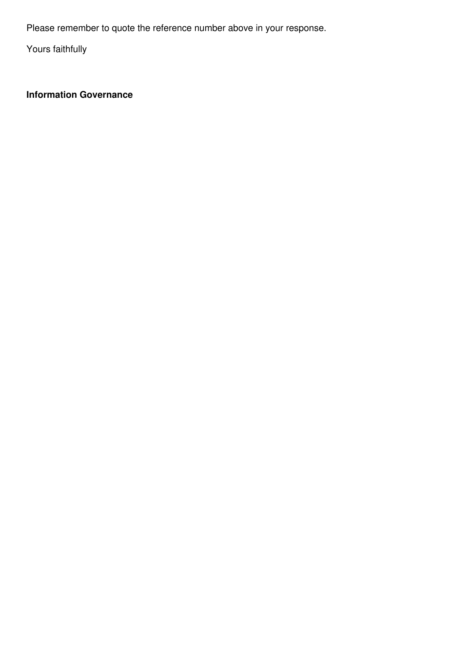Please remember to quote the reference number above in your response.

Yours faithfully

**Information Governance**